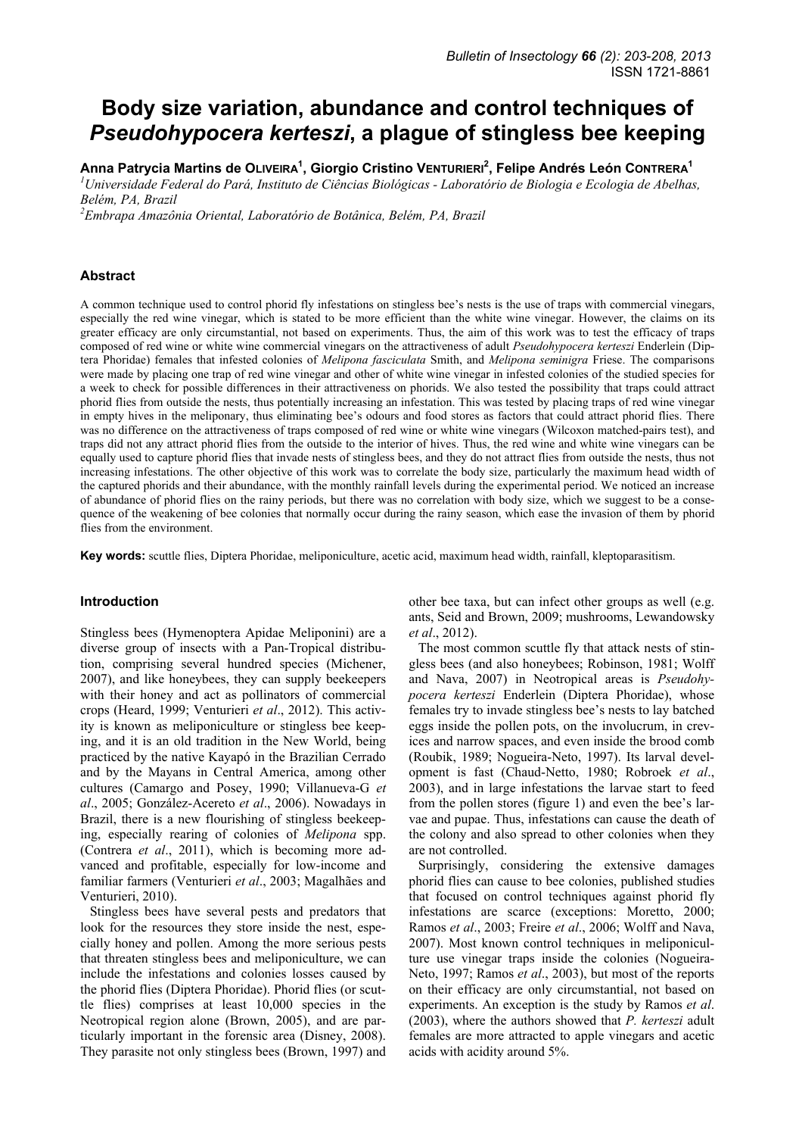# **Body size variation, abundance and control techniques of**  *Pseudohypocera kerteszi***, a plague of stingless bee keeping**

**Anna Patrycia Martins de OLIVEIRA1 , Giorgio Cristino VENTURIERI<sup>2</sup> , Felipe Andrés León CONTRERA1**

<sup>1</sup> Universidade Federal do Pará, Instituto de Ciências Biológicas - Laboratório de Biologia e Ecologia de Abelhas, *Belém, PA, Brazil* 

*2 Embrapa Amazônia Oriental, Laboratório de Botânica, Belém, PA, Brazil* 

## **Abstract**

A common technique used to control phorid fly infestations on stingless bee's nests is the use of traps with commercial vinegars, especially the red wine vinegar, which is stated to be more efficient than the white wine vinegar. However, the claims on its greater efficacy are only circumstantial, not based on experiments. Thus, the aim of this work was to test the efficacy of traps composed of red wine or white wine commercial vinegars on the attractiveness of adult *Pseudohypocera kerteszi* Enderlein (Diptera Phoridae) females that infested colonies of *Melipona fasciculata* Smith, and *Melipona seminigra* Friese. The comparisons were made by placing one trap of red wine vinegar and other of white wine vinegar in infested colonies of the studied species for a week to check for possible differences in their attractiveness on phorids. We also tested the possibility that traps could attract phorid flies from outside the nests, thus potentially increasing an infestation. This was tested by placing traps of red wine vinegar in empty hives in the meliponary, thus eliminating bee's odours and food stores as factors that could attract phorid flies. There was no difference on the attractiveness of traps composed of red wine or white wine vinegars (Wilcoxon matched-pairs test), and traps did not any attract phorid flies from the outside to the interior of hives. Thus, the red wine and white wine vinegars can be equally used to capture phorid flies that invade nests of stingless bees, and they do not attract flies from outside the nests, thus not increasing infestations. The other objective of this work was to correlate the body size, particularly the maximum head width of the captured phorids and their abundance, with the monthly rainfall levels during the experimental period. We noticed an increase of abundance of phorid flies on the rainy periods, but there was no correlation with body size, which we suggest to be a consequence of the weakening of bee colonies that normally occur during the rainy season, which ease the invasion of them by phorid flies from the environment.

**Key words:** scuttle flies, Diptera Phoridae, meliponiculture, acetic acid, maximum head width, rainfall, kleptoparasitism.

## **Introduction**

Stingless bees (Hymenoptera Apidae Meliponini) are a diverse group of insects with a Pan-Tropical distribution, comprising several hundred species (Michener, 2007), and like honeybees, they can supply beekeepers with their honey and act as pollinators of commercial crops (Heard, 1999; Venturieri *et al*., 2012). This activity is known as meliponiculture or stingless bee keeping, and it is an old tradition in the New World, being practiced by the native Kayapó in the Brazilian Cerrado and by the Mayans in Central America, among other cultures (Camargo and Posey, 1990; Villanueva-G *et al*., 2005; González-Acereto *et al*., 2006). Nowadays in Brazil, there is a new flourishing of stingless beekeeping, especially rearing of colonies of *Melipona* spp. (Contrera *et al*., 2011), which is becoming more advanced and profitable, especially for low-income and familiar farmers (Venturieri *et al*., 2003; Magalhães and Venturieri, 2010).

Stingless bees have several pests and predators that look for the resources they store inside the nest, especially honey and pollen. Among the more serious pests that threaten stingless bees and meliponiculture, we can include the infestations and colonies losses caused by the phorid flies (Diptera Phoridae). Phorid flies (or scuttle flies) comprises at least 10,000 species in the Neotropical region alone (Brown, 2005), and are particularly important in the forensic area (Disney, 2008). They parasite not only stingless bees (Brown, 1997) and other bee taxa, but can infect other groups as well (e.g. ants, Seid and Brown, 2009; mushrooms, Lewandowsky *et al*., 2012).

The most common scuttle fly that attack nests of stingless bees (and also honeybees; Robinson, 1981; Wolff and Nava, 2007) in Neotropical areas is *Pseudohypocera kerteszi* Enderlein (Diptera Phoridae), whose females try to invade stingless bee's nests to lay batched eggs inside the pollen pots, on the involucrum, in crevices and narrow spaces, and even inside the brood comb (Roubik, 1989; Nogueira-Neto, 1997). Its larval development is fast (Chaud-Netto, 1980; Robroek *et al*., 2003), and in large infestations the larvae start to feed from the pollen stores (figure 1) and even the bee's larvae and pupae. Thus, infestations can cause the death of the colony and also spread to other colonies when they are not controlled.

Surprisingly, considering the extensive damages phorid flies can cause to bee colonies, published studies that focused on control techniques against phorid fly infestations are scarce (exceptions: Moretto, 2000; Ramos *et al*., 2003; Freire *et al*., 2006; Wolff and Nava, 2007). Most known control techniques in meliponiculture use vinegar traps inside the colonies (Nogueira-Neto, 1997; Ramos *et al*., 2003), but most of the reports on their efficacy are only circumstantial, not based on experiments. An exception is the study by Ramos *et al*. (2003), where the authors showed that *P. kerteszi* adult females are more attracted to apple vinegars and acetic acids with acidity around 5%.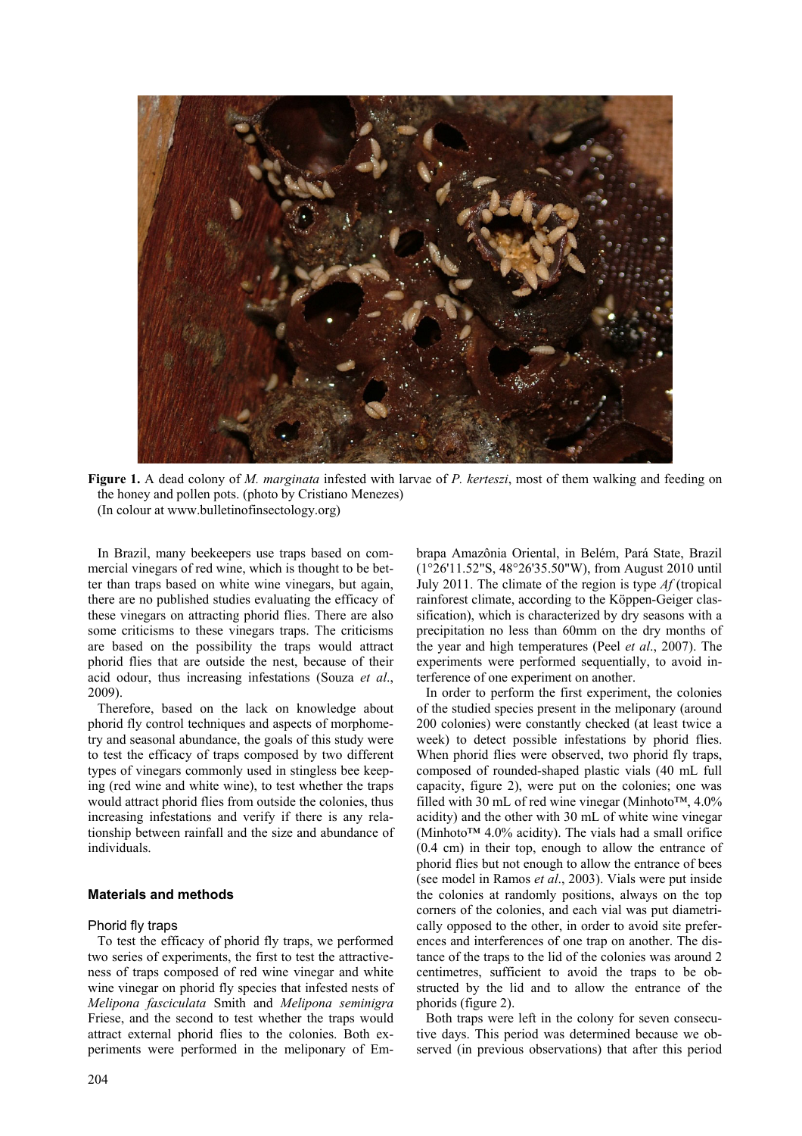

**Figure 1.** A dead colony of *M. marginata* infested with larvae of *P. kerteszi*, most of them walking and feeding on the honey and pollen pots. (photo by Cristiano Menezes) (In colour at www.bulletinofinsectology.org)

In Brazil, many beekeepers use traps based on commercial vinegars of red wine, which is thought to be better than traps based on white wine vinegars, but again, there are no published studies evaluating the efficacy of these vinegars on attracting phorid flies. There are also some criticisms to these vinegars traps. The criticisms are based on the possibility the traps would attract phorid flies that are outside the nest, because of their acid odour, thus increasing infestations (Souza *et al*., 2009).

Therefore, based on the lack on knowledge about phorid fly control techniques and aspects of morphometry and seasonal abundance, the goals of this study were to test the efficacy of traps composed by two different types of vinegars commonly used in stingless bee keeping (red wine and white wine), to test whether the traps would attract phorid flies from outside the colonies, thus increasing infestations and verify if there is any relationship between rainfall and the size and abundance of individuals.

# **Materials and methods**

## Phorid fly traps

To test the efficacy of phorid fly traps, we performed two series of experiments, the first to test the attractiveness of traps composed of red wine vinegar and white wine vinegar on phorid fly species that infested nests of *Melipona fasciculata* Smith and *Melipona seminigra* Friese, and the second to test whether the traps would attract external phorid flies to the colonies. Both experiments were performed in the meliponary of Embrapa Amazônia Oriental, in Belém, Pará State, Brazil (1°26'11.52"S, 48°26'35.50"W), from August 2010 until July 2011. The climate of the region is type *Af* (tropical rainforest climate, according to the Köppen-Geiger classification), which is characterized by dry seasons with a precipitation no less than 60mm on the dry months of the year and high temperatures (Peel *et al*., 2007). The experiments were performed sequentially, to avoid interference of one experiment on another.

In order to perform the first experiment, the colonies of the studied species present in the meliponary (around 200 colonies) were constantly checked (at least twice a week) to detect possible infestations by phorid flies. When phorid flies were observed, two phorid fly traps, composed of rounded-shaped plastic vials (40 mL full capacity, figure 2), were put on the colonies; one was filled with 30 mL of red wine vinegar (Minhoto™,  $4.0\%$ acidity) and the other with 30 mL of white wine vinegar (Minhoto™ 4.0% acidity). The vials had a small orifice (0.4 cm) in their top, enough to allow the entrance of phorid flies but not enough to allow the entrance of bees (see model in Ramos *et al*., 2003). Vials were put inside the colonies at randomly positions, always on the top corners of the colonies, and each vial was put diametrically opposed to the other, in order to avoid site preferences and interferences of one trap on another. The distance of the traps to the lid of the colonies was around 2 centimetres, sufficient to avoid the traps to be obstructed by the lid and to allow the entrance of the phorids (figure 2).

Both traps were left in the colony for seven consecutive days. This period was determined because we observed (in previous observations) that after this period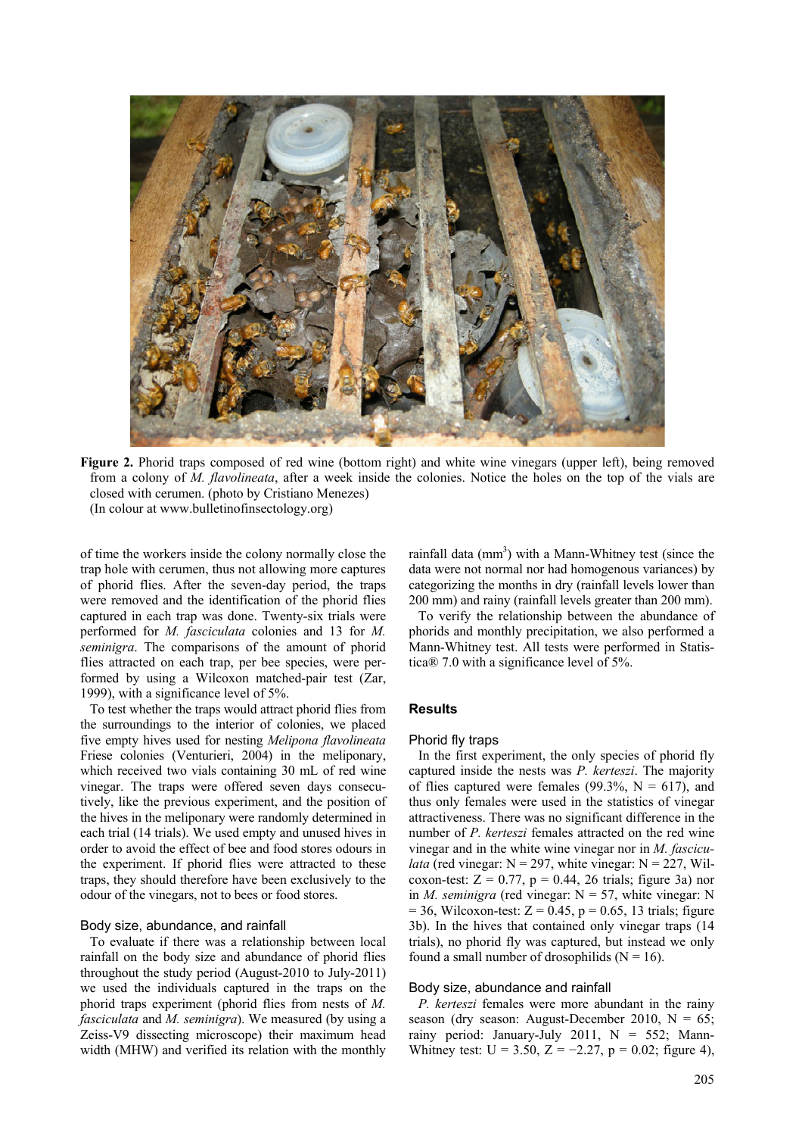

**Figure 2.** Phorid traps composed of red wine (bottom right) and white wine vinegars (upper left), being removed from a colony of *M. flavolineata*, after a week inside the colonies. Notice the holes on the top of the vials are closed with cerumen. (photo by Cristiano Menezes) (In colour at www.bulletinofinsectology.org)

of time the workers inside the colony normally close the trap hole with cerumen, thus not allowing more captures of phorid flies. After the seven-day period, the traps were removed and the identification of the phorid flies captured in each trap was done. Twenty-six trials were performed for *M. fasciculata* colonies and 13 for *M. seminigra*. The comparisons of the amount of phorid flies attracted on each trap, per bee species, were performed by using a Wilcoxon matched-pair test (Zar, 1999), with a significance level of 5%.

To test whether the traps would attract phorid flies from the surroundings to the interior of colonies, we placed five empty hives used for nesting *Melipona flavolineata* Friese colonies (Venturieri, 2004) in the meliponary, which received two vials containing 30 mL of red wine vinegar. The traps were offered seven days consecutively, like the previous experiment, and the position of the hives in the meliponary were randomly determined in each trial (14 trials). We used empty and unused hives in order to avoid the effect of bee and food stores odours in the experiment. If phorid flies were attracted to these traps, they should therefore have been exclusively to the odour of the vinegars, not to bees or food stores.

#### Body size, abundance, and rainfall

To evaluate if there was a relationship between local rainfall on the body size and abundance of phorid flies throughout the study period (August-2010 to July-2011) we used the individuals captured in the traps on the phorid traps experiment (phorid flies from nests of *M. fasciculata* and *M. seminigra*). We measured (by using a Zeiss-V9 dissecting microscope) their maximum head width (MHW) and verified its relation with the monthly

rainfall data  $(mm<sup>3</sup>)$  with a Mann-Whitney test (since the data were not normal nor had homogenous variances) by categorizing the months in dry (rainfall levels lower than 200 mm) and rainy (rainfall levels greater than 200 mm).

To verify the relationship between the abundance of phorids and monthly precipitation, we also performed a Mann-Whitney test. All tests were performed in Statistica® 7.0 with a significance level of 5%.

# **Results**

#### Phorid fly traps

In the first experiment, the only species of phorid fly captured inside the nests was *P. kerteszi*. The majority of flies captured were females (99.3%,  $N = 617$ ), and thus only females were used in the statistics of vinegar attractiveness. There was no significant difference in the number of *P. kerteszi* females attracted on the red wine vinegar and in the white wine vinegar nor in *M. fasciculata* (red vinegar:  $N = 297$ , white vinegar:  $N = 227$ , Wilcoxon-test:  $Z = 0.77$ ,  $p = 0.44$ , 26 trials; figure 3a) nor in *M. seminigra* (red vinegar:  $N = 57$ , white vinegar: N  $= 36$ , Wilcoxon-test:  $Z = 0.45$ ,  $p = 0.65$ , 13 trials; figure 3b). In the hives that contained only vinegar traps (14 trials), no phorid fly was captured, but instead we only found a small number of drosophilids  $(N = 16)$ .

## Body size, abundance and rainfall

*P. kerteszi* females were more abundant in the rainy season (dry season: August-December 2010,  $N = 65$ ; rainy period: January-July 2011,  $N = 552$ ; Mann-Whitney test:  $U = 3.50$ ,  $Z = -2.27$ ,  $p = 0.02$ ; figure 4),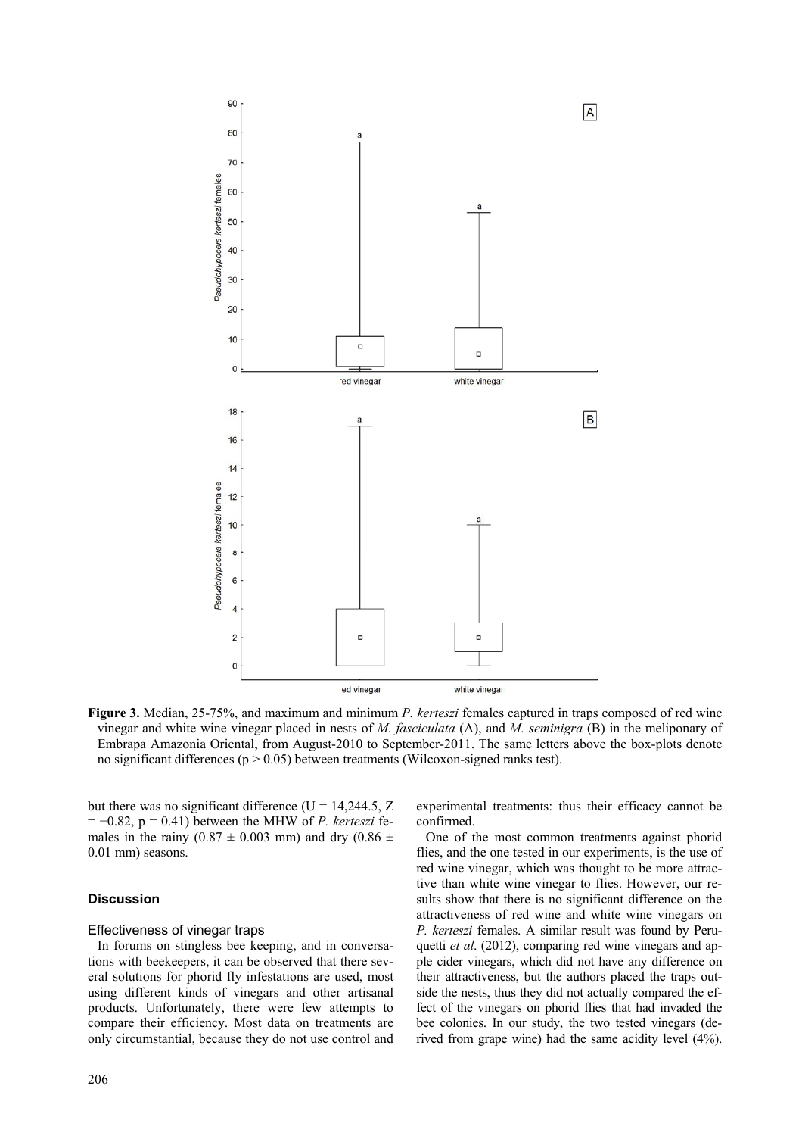

**Figure 3.** Median, 25-75%, and maximum and minimum *P. kerteszi* females captured in traps composed of red wine vinegar and white wine vinegar placed in nests of *M. fasciculata* (A), and *M. seminigra* (B) in the meliponary of Embrapa Amazonia Oriental, from August-2010 to September-2011. The same letters above the box-plots denote no significant differences ( $p > 0.05$ ) between treatments (Wilcoxon-signed ranks test).

but there was no significant difference ( $U = 14,244.5$ , Z = −0.82, p = 0.41) between the MHW of *P. kerteszi* females in the rainy (0.87  $\pm$  0.003 mm) and dry (0.86  $\pm$ 0.01 mm) seasons.

# **Discussion**

#### Effectiveness of vinegar traps

In forums on stingless bee keeping, and in conversations with beekeepers, it can be observed that there several solutions for phorid fly infestations are used, most using different kinds of vinegars and other artisanal products. Unfortunately, there were few attempts to compare their efficiency. Most data on treatments are only circumstantial, because they do not use control and experimental treatments: thus their efficacy cannot be confirmed.

One of the most common treatments against phorid flies, and the one tested in our experiments, is the use of red wine vinegar, which was thought to be more attractive than white wine vinegar to flies. However, our results show that there is no significant difference on the attractiveness of red wine and white wine vinegars on *P. kerteszi* females. A similar result was found by Peruquetti *et al.* (2012), comparing red wine vinegars and apple cider vinegars, which did not have any difference on their attractiveness, but the authors placed the traps outside the nests, thus they did not actually compared the effect of the vinegars on phorid flies that had invaded the bee colonies. In our study, the two tested vinegars (derived from grape wine) had the same acidity level (4%).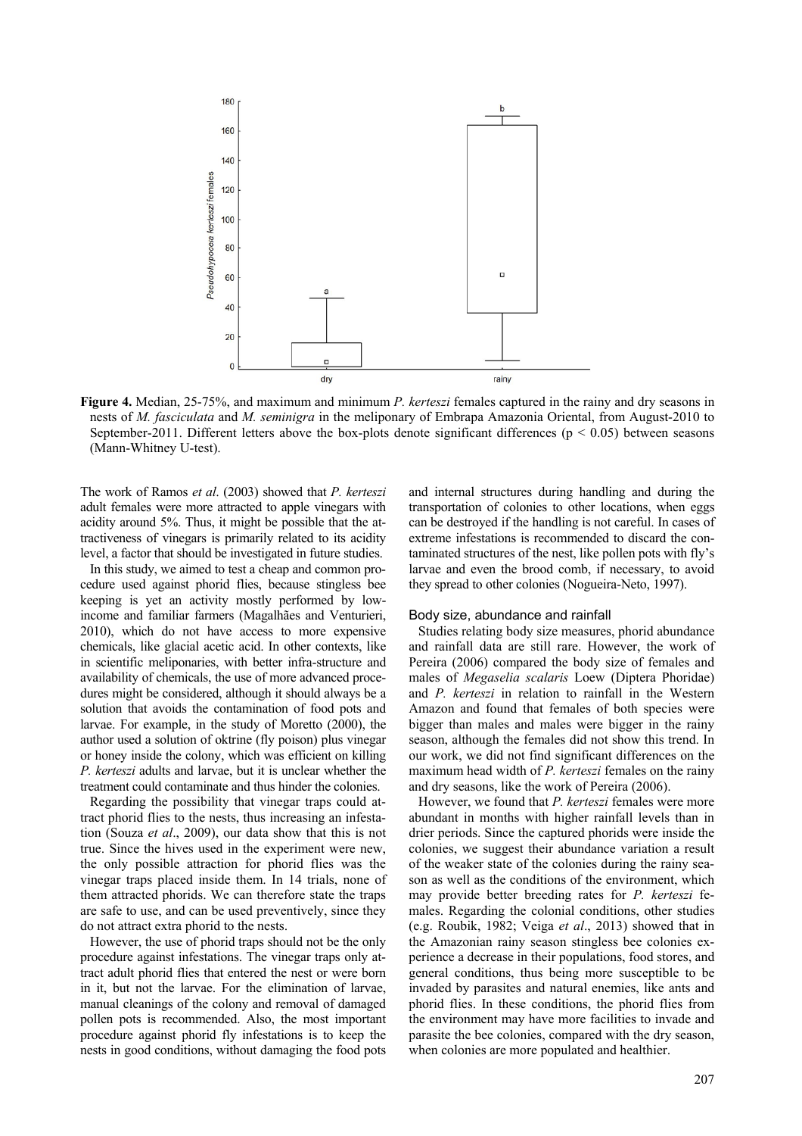

**Figure 4.** Median, 25-75%, and maximum and minimum *P. kerteszi* females captured in the rainy and dry seasons in nests of *M. fasciculata* and *M. seminigra* in the meliponary of Embrapa Amazonia Oriental, from August-2010 to September-2011. Different letters above the box-plots denote significant differences ( $p < 0.05$ ) between seasons (Mann-Whitney U-test).

The work of Ramos *et al*. (2003) showed that *P. kerteszi* adult females were more attracted to apple vinegars with acidity around 5%. Thus, it might be possible that the attractiveness of vinegars is primarily related to its acidity level, a factor that should be investigated in future studies.

In this study, we aimed to test a cheap and common procedure used against phorid flies, because stingless bee keeping is yet an activity mostly performed by lowincome and familiar farmers (Magalhães and Venturieri, 2010), which do not have access to more expensive chemicals, like glacial acetic acid. In other contexts, like in scientific meliponaries, with better infra-structure and availability of chemicals, the use of more advanced procedures might be considered, although it should always be a solution that avoids the contamination of food pots and larvae. For example, in the study of Moretto (2000), the author used a solution of oktrine (fly poison) plus vinegar or honey inside the colony, which was efficient on killing *P. kerteszi* adults and larvae, but it is unclear whether the treatment could contaminate and thus hinder the colonies.

Regarding the possibility that vinegar traps could attract phorid flies to the nests, thus increasing an infestation (Souza *et al*., 2009), our data show that this is not true. Since the hives used in the experiment were new, the only possible attraction for phorid flies was the vinegar traps placed inside them. In 14 trials, none of them attracted phorids. We can therefore state the traps are safe to use, and can be used preventively, since they do not attract extra phorid to the nests.

However, the use of phorid traps should not be the only procedure against infestations. The vinegar traps only attract adult phorid flies that entered the nest or were born in it, but not the larvae. For the elimination of larvae, manual cleanings of the colony and removal of damaged pollen pots is recommended. Also, the most important procedure against phorid fly infestations is to keep the nests in good conditions, without damaging the food pots

and internal structures during handling and during the transportation of colonies to other locations, when eggs can be destroyed if the handling is not careful. In cases of extreme infestations is recommended to discard the contaminated structures of the nest, like pollen pots with fly's larvae and even the brood comb, if necessary, to avoid they spread to other colonies (Nogueira-Neto, 1997).

#### Body size, abundance and rainfall

Studies relating body size measures, phorid abundance and rainfall data are still rare. However, the work of Pereira (2006) compared the body size of females and males of *Megaselia scalaris* Loew (Diptera Phoridae) and *P. kerteszi* in relation to rainfall in the Western Amazon and found that females of both species were bigger than males and males were bigger in the rainy season, although the females did not show this trend. In our work, we did not find significant differences on the maximum head width of *P. kerteszi* females on the rainy and dry seasons, like the work of Pereira (2006).

However, we found that *P. kerteszi* females were more abundant in months with higher rainfall levels than in drier periods. Since the captured phorids were inside the colonies, we suggest their abundance variation a result of the weaker state of the colonies during the rainy season as well as the conditions of the environment, which may provide better breeding rates for *P. kerteszi* females. Regarding the colonial conditions, other studies (e.g. Roubik, 1982; Veiga *et al*., 2013) showed that in the Amazonian rainy season stingless bee colonies experience a decrease in their populations, food stores, and general conditions, thus being more susceptible to be invaded by parasites and natural enemies, like ants and phorid flies. In these conditions, the phorid flies from the environment may have more facilities to invade and parasite the bee colonies, compared with the dry season, when colonies are more populated and healthier.